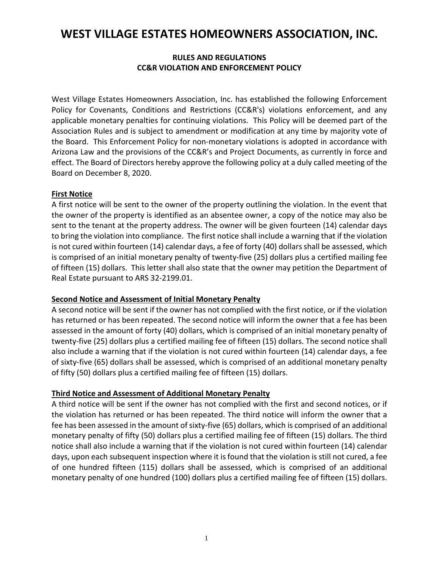# **WEST VILLAGE ESTATES HOMEOWNERS ASSOCIATION, INC.**

# **RULES AND REGULATIONS CC&R VIOLATION AND ENFORCEMENT POLICY**

West Village Estates Homeowners Association, Inc. has established the following Enforcement Policy for Covenants, Conditions and Restrictions (CC&R's) violations enforcement, and any applicable monetary penalties for continuing violations. This Policy will be deemed part of the Association Rules and is subject to amendment or modification at any time by majority vote of the Board. This Enforcement Policy for non-monetary violations is adopted in accordance with Arizona Law and the provisions of the CC&R's and Project Documents, as currently in force and effect. The Board of Directors hereby approve the following policy at a duly called meeting of the Board on December 8, 2020.

# **First Notice**

A first notice will be sent to the owner of the property outlining the violation. In the event that the owner of the property is identified as an absentee owner, a copy of the notice may also be sent to the tenant at the property address. The owner will be given fourteen (14) calendar days to bring the violation into compliance. The first notice shall include a warning that if the violation is not cured within fourteen (14) calendar days, a fee of forty (40) dollars shall be assessed, which is comprised of an initial monetary penalty of twenty-five (25) dollars plus a certified mailing fee of fifteen (15) dollars. This letter shall also state that the owner may petition the Department of Real Estate pursuant to ARS 32-2199.01.

# **Second Notice and Assessment of Initial Monetary Penalty**

A second notice will be sent if the owner has not complied with the first notice, or if the violation has returned or has been repeated. The second notice will inform the owner that a fee has been assessed in the amount of forty (40) dollars, which is comprised of an initial monetary penalty of twenty-five (25) dollars plus a certified mailing fee of fifteen (15) dollars. The second notice shall also include a warning that if the violation is not cured within fourteen (14) calendar days, a fee of sixty-five (65) dollars shall be assessed, which is comprised of an additional monetary penalty of fifty (50) dollars plus a certified mailing fee of fifteen (15) dollars.

# **Third Notice and Assessment of Additional Monetary Penalty**

A third notice will be sent if the owner has not complied with the first and second notices, or if the violation has returned or has been repeated. The third notice will inform the owner that a fee has been assessed in the amount of sixty-five (65) dollars, which is comprised of an additional monetary penalty of fifty (50) dollars plus a certified mailing fee of fifteen (15) dollars. The third notice shall also include a warning that if the violation is not cured within fourteen (14) calendar days, upon each subsequent inspection where it is found that the violation is still not cured, a fee of one hundred fifteen (115) dollars shall be assessed, which is comprised of an additional monetary penalty of one hundred (100) dollars plus a certified mailing fee of fifteen (15) dollars.